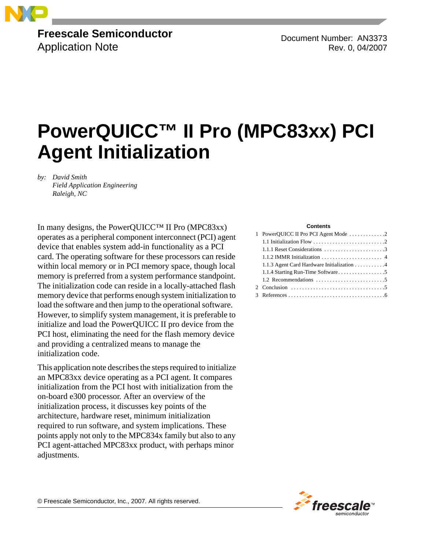

### **Freescale Semiconductor** Application Note

Document Number: AN3373 Rev. 0, 04/2007

# **PowerQUICC™ II Pro (MPC83xx) PCI Agent Initialization**

*by: David Smith Field Application Engineering Raleigh, NC*

In many designs, the PowerQUICC™ II Pro (MPC83xx) operates as a peripheral component interconnect (PCI) agent device that enables system add-in functionality as a PCI card. The operating software for these processors can reside within local memory or in PCI memory space, though local memory is preferred from a system performance standpoint. The initialization code can reside in a locally-attached flash memory device that performs enough system initialization to load the software and then jump to the operational software. However, to simplify system management, it is preferable to initialize and load the PowerQUICC II pro device from the PCI host, eliminating the need for the flash memory device and providing a centralized means to manage the initialization code.

This application note describes the steps required to initialize an MPC83xx device operating as a PCI agent. It compares initialization from the PCI host with initialization from the on-board e300 processor. After an overview of the initialization process, it discusses key points of the architecture, hardware reset, minimum initialization required to run software, and system implications. These points apply not only to the MPC834x family but also to any PCI agent-attached MPC83xx product, with perhaps minor adjustments.

#### **Contents**

| 1 PowerQUICC II Pro PCI Agent Mode 2                                   |
|------------------------------------------------------------------------|
|                                                                        |
| 1.1.1 Reset Considerations $\dots \dots \dots \dots \dots \dots \dots$ |
|                                                                        |
| 1.1.3 Agent Card Hardware Initialization 4                             |
|                                                                        |
|                                                                        |
|                                                                        |
|                                                                        |



© Freescale Semiconductor, Inc., 2007. All rights reserved.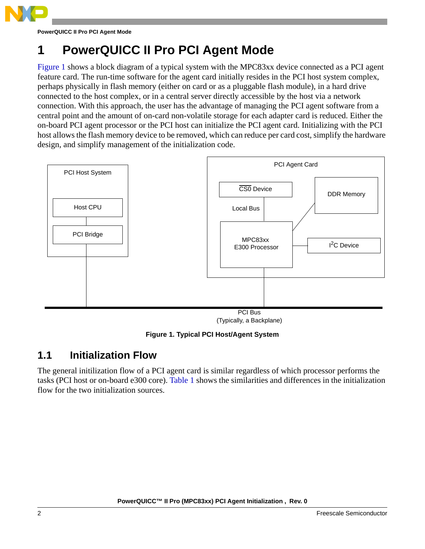

**PowerQUICC II Pro PCI Agent Mode**

# **1 PowerQUICC II Pro PCI Agent Mode**

[Figure 1](#page-1-0) shows a block diagram of a typical system with the MPC83xx device connected as a PCI agent feature card. The run-time software for the agent card initially resides in the PCI host system complex, perhaps physically in flash memory (either on card or as a pluggable flash module), in a hard drive connected to the host complex, or in a central server directly accessible by the host via a network connection. With this approach, the user has the advantage of managing the PCI agent software from a central point and the amount of on-card non-volatile storage for each adapter card is reduced. Either the on-board PCI agent processor or the PCI host can initialize the PCI agent card. Initializing with the PCI host allows the flash memory device to be removed, which can reduce per card cost, simplify the hardware design, and simplify management of the initialization code.



(Typically, a Backplane)

**Figure 1. Typical PCI Host/Agent System**

### <span id="page-1-0"></span>**1.1 Initialization Flow**

The general initilization flow of a PCI agent card is similar regardless of which processor performs the tasks (PCI host or on-board e300 core). [Table 1](#page-2-0) shows the similarities and differences in the initialization flow for the two initialization sources.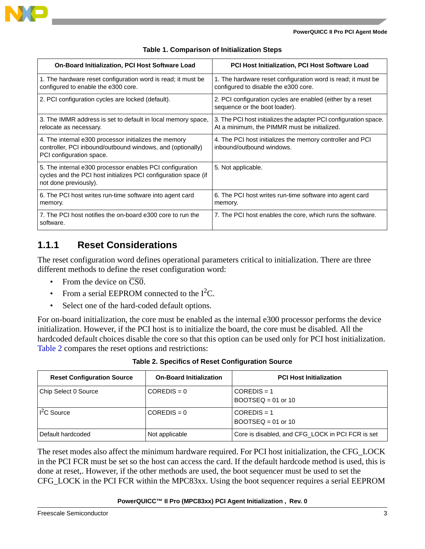

<span id="page-2-0"></span>

| <b>On-Board Initialization, PCI Host Software Load</b>                                                                                               | <b>PCI Host Initialization, PCI Host Software Load</b>                                                           |
|------------------------------------------------------------------------------------------------------------------------------------------------------|------------------------------------------------------------------------------------------------------------------|
| 1. The hardware reset configuration word is read; it must be<br>configured to enable the e300 core.                                                  | 1. The hardware reset configuration word is read; it must be<br>configured to disable the e300 core.             |
| 2. PCI configuration cycles are locked (default).                                                                                                    | 2. PCI configuration cycles are enabled (either by a reset<br>sequence or the boot loader).                      |
| 3. The IMMR address is set to default in local memory space,<br>relocate as necessary.                                                               | 3. The PCI host initializes the adapter PCI configuration space.<br>At a minimum, the PIMMR must be initialized. |
| 4. The internal e300 processor initializes the memory<br>controller, PCI inbound/outbound windows, and (optionally)<br>PCI configuration space.      | 4. The PCI host initializes the memory controller and PCI<br>inbound/outbound windows.                           |
| 5. The internal e300 processor enables PCI configuration<br>cycles and the PCI host initializes PCI configuration space (if<br>not done previously). | 5. Not applicable.                                                                                               |
| 6. The PCI host writes run-time software into agent card<br>memory.                                                                                  | 6. The PCI host writes run-time software into agent card<br>memory.                                              |
| 7. The PCI host notifies the on-board e300 core to run the<br>software.                                                                              | 7. The PCI host enables the core, which runs the software.                                                       |

#### **Table 1. Comparison of Initialization Steps**

### **1.1.1 Reset Considerations**

The reset configuration word defines operational parameters critical to initialization. There are three different methods to define the reset configuration word:

- From the device on  $\overline{CS0}$ .
- From a serial EEPROM connected to the  $I<sup>2</sup>C$ .
- Select one of the hard-coded default options.

For on-board initialization, the core must be enabled as the internal e300 processor performs the device initialization. However, if the PCI host is to initialize the board, the core must be disabled. All the hardcoded default choices disable the core so that this option can be used only for PCI host initialization. [Table 2](#page-2-1) compares the reset options and restrictions:

<span id="page-2-1"></span>

| <b>Reset Configuration Source</b> | <b>On-Board Initialization</b> | <b>PCI Host Initialization</b>                   |
|-----------------------------------|--------------------------------|--------------------------------------------------|
| Chip Select 0 Source              | $COREDIS = 0$                  | $COREDIS = 1$<br>$BOOTSEQ = 01$ or 10            |
| $I2C$ Source                      | $COREDIS = 0$                  | $COREDIS = 1$<br>$BOOTSEQ = 01$ or 10            |
| Default hardcoded                 | Not applicable                 | Core is disabled, and CFG LOCK in PCI FCR is set |

|  |  |  | Table 2. Specifics of Reset Configuration Source |  |
|--|--|--|--------------------------------------------------|--|
|--|--|--|--------------------------------------------------|--|

The reset modes also affect the minimum hardware required. For PCI host initialization, the CFG\_LOCK in the PCI FCR must be set so the host can access the card. If the default hardcode method is used, this is done at reset,. However, if the other methods are used, the boot sequencer must be used to set the CFG\_LOCK in the PCI FCR within the MPC83xx. Using the boot sequencer requires a serial EEPROM

#### **PowerQUICC™ II Pro (MPC83xx) PCI Agent Initialization , Rev. 0**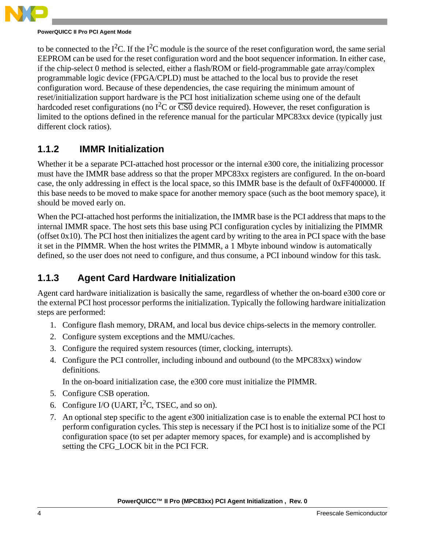

#### **PowerQUICC II Pro PCI Agent Mode**

to be connected to the I<sup>2</sup>C. If the I<sup>2</sup>C module is the source of the reset configuration word, the same serial EEPROM can be used for the reset configuration word and the boot sequencer information. In either case, if the chip-select 0 method is selected, either a flash/ROM or field-programmable gate array/complex programmable logic device (FPGA/CPLD) must be attached to the local bus to provide the reset configuration word. Because of these dependencies, the case requiring the minimum amount of reset/initialization support hardware is the PCI host initialization scheme using one of the default hardcoded reset configurations (no  $I^2C$  or  $\overline{CS0}$  device required). However, the reset configuration is limited to the options defined in the reference manual for the particular MPC83xx device (typically just different clock ratios).

### **1.1.2 IMMR Initialization**

Whether it be a separate PCI-attached host processor or the internal e300 core, the initializing processor must have the IMMR base address so that the proper MPC83xx registers are configured. In the on-board case, the only addressing in effect is the local space, so this IMMR base is the default of 0xFF400000. If this base needs to be moved to make space for another memory space (such as the boot memory space), it should be moved early on.

When the PCI-attached host performs the initialization, the IMMR base is the PCI address that maps to the internal IMMR space. The host sets this base using PCI configuration cycles by initializing the PIMMR (offset 0x10). The PCI host then initializes the agent card by writing to the area in PCI space with the base it set in the PIMMR. When the host writes the PIMMR, a 1 Mbyte inbound window is automatically defined, so the user does not need to configure, and thus consume, a PCI inbound window for this task.

### **1.1.3 Agent Card Hardware Initialization**

Agent card hardware initialization is basically the same, regardless of whether the on-board e300 core or the external PCI host processor performs the initialization. Typically the following hardware initialization steps are performed:

- 1. Configure flash memory, DRAM, and local bus device chips-selects in the memory controller.
- 2. Configure system exceptions and the MMU/caches.
- 3. Configure the required system resources (timer, clocking, interrupts).
- 4. Configure the PCI controller, including inbound and outbound (to the MPC83xx) window definitions.

In the on-board initialization case, the e300 core must initialize the PIMMR.

- 5. Configure CSB operation.
- 6. Configure I/O (UART,  $I^2C$ , TSEC, and so on).
- 7. An optional step specific to the agent e300 initialization case is to enable the external PCI host to perform configuration cycles. This step is necessary if the PCI host is to initialize some of the PCI configuration space (to set per adapter memory spaces, for example) and is accomplished by setting the CFG\_LOCK bit in the PCI FCR.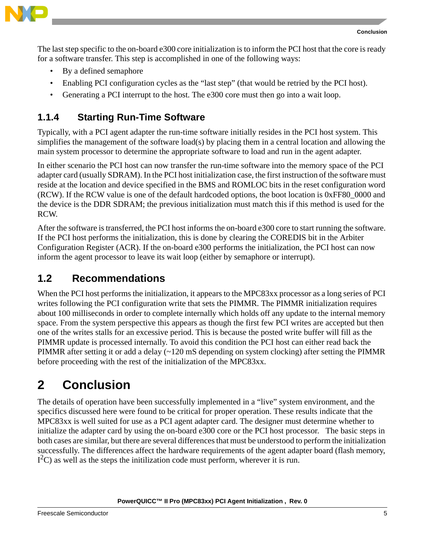

The last step specific to the on-board e300 core initialization is to inform the PCI host that the core is ready for a software transfer. This step is accomplished in one of the following ways:

- By a defined semaphore
- Enabling PCI configuration cycles as the "last step" (that would be retried by the PCI host).
- Generating a PCI interrupt to the host. The e300 core must then go into a wait loop.

### **1.1.4 Starting Run-Time Software**

Typically, with a PCI agent adapter the run-time software initially resides in the PCI host system. This simplifies the management of the software load(s) by placing them in a central location and allowing the main system processor to determine the appropriate software to load and run in the agent adapter.

In either scenario the PCI host can now transfer the run-time software into the memory space of the PCI adapter card (usually SDRAM). In the PCI host initialization case, the first instruction of the software must reside at the location and device specified in the BMS and ROMLOC bits in the reset configuration word (RCW). If the RCW value is one of the default hardcoded options, the boot location is 0xFF80\_0000 and the device is the DDR SDRAM; the previous initialization must match this if this method is used for the RCW.

After the software is transferred, the PCI host informs the on-board e300 core to start running the software. If the PCI host performs the initialization, this is done by clearing the COREDIS bit in the Arbiter Configuration Register (ACR). If the on-board e300 performs the initialization, the PCI host can now inform the agent processor to leave its wait loop (either by semaphore or interrupt).

### **1.2 Recommendations**

When the PCI host performs the initialization, it appears to the MPC83xx processor as a long series of PCI writes following the PCI configuration write that sets the PIMMR. The PIMMR initialization requires about 100 milliseconds in order to complete internally which holds off any update to the internal memory space. From the system perspective this appears as though the first few PCI writes are accepted but then one of the writes stalls for an excessive period. This is because the posted write buffer will fill as the PIMMR update is processed internally. To avoid this condition the PCI host can either read back the PIMMR after setting it or add a delay (~120 mS depending on system clocking) after setting the PIMMR before proceeding with the rest of the initialization of the MPC83xx.

# **2 Conclusion**

The details of operation have been successfully implemented in a "live" system environment, and the specifics discussed here were found to be critical for proper operation. These results indicate that the MPC83xx is well suited for use as a PCI agent adapter card. The designer must determine whether to initialize the adapter card by using the on-board e300 core or the PCI host processor. The basic steps in both cases are similar, but there are several differences that must be understood to perform the initialization successfully. The differences affect the hardware requirements of the agent adapter board (flash memory, I<sup>2</sup>C) as well as the steps the initilization code must perform, wherever it is run.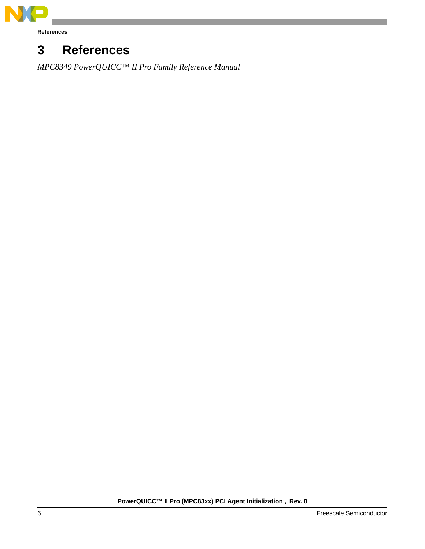

**References**

## **3 References**

*MPC8349 PowerQUICC™ II Pro Family Reference Manual*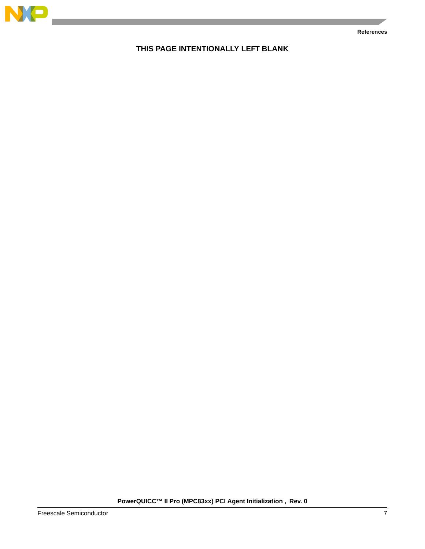

 $\overline{\phantom{a}}$ 

### **THIS PAGE INTENTIONALLY LEFT BLANK**